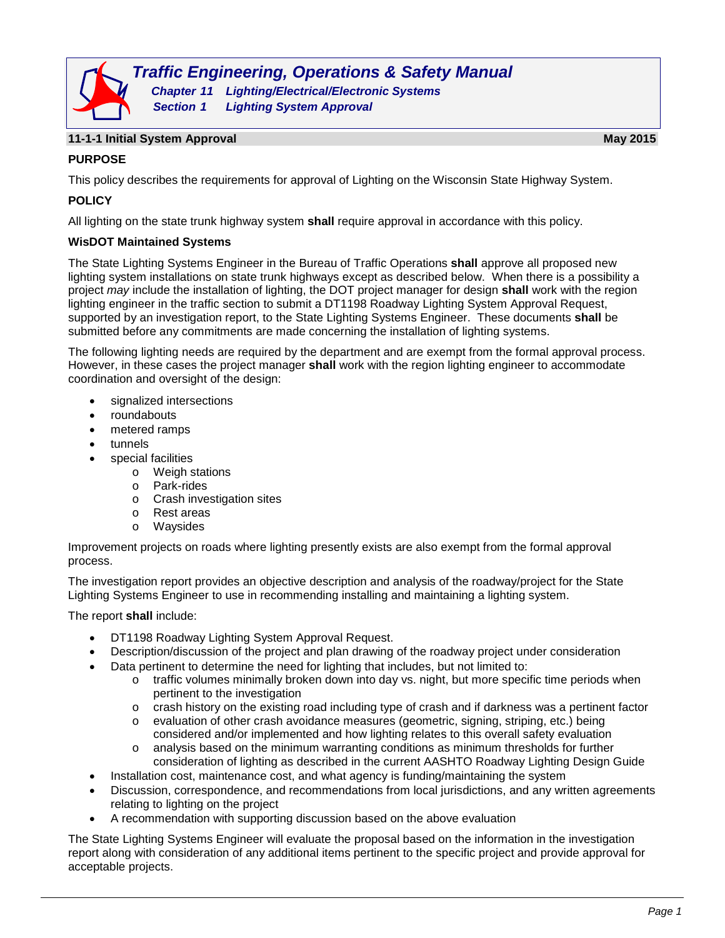

#### **11-1-1 Initial System Approval May 2015**

# **PURPOSE**

This policy describes the requirements for approval of Lighting on the Wisconsin State Highway System.

# **POLICY**

All lighting on the state trunk highway system **shall** require approval in accordance with this policy.

#### **WisDOT Maintained Systems**

The State Lighting Systems Engineer in the Bureau of Traffic Operations **shall** approve all proposed new lighting system installations on state trunk highways except as described below. When there is a possibility a project *may* include the installation of lighting, the DOT project manager for design **shall** work with the region lighting engineer in the traffic section to submit a DT1198 Roadway Lighting System Approval Request, supported by an investigation report, to the State Lighting Systems Engineer. These documents **shall** be submitted before any commitments are made concerning the installation of lighting systems.

The following lighting needs are required by the department and are exempt from the formal approval process. However, in these cases the project manager **shall** work with the region lighting engineer to accommodate coordination and oversight of the design:

- signalized intersections
- roundabouts
- metered ramps
- tunnels
- special facilities
	- o Weigh stations
	- o Park-rides
	- o Crash investigation sites
	- o Rest areas
	- o Waysides

Improvement projects on roads where lighting presently exists are also exempt from the formal approval process.

The investigation report provides an objective description and analysis of the roadway/project for the State Lighting Systems Engineer to use in recommending installing and maintaining a lighting system.

The report **shall** include:

- DT1198 Roadway Lighting System Approval Request.
- Description/discussion of the project and plan drawing of the roadway project under consideration
- Data pertinent to determine the need for lighting that includes, but not limited to:
	- $\circ$  traffic volumes minimally broken down into day vs. night, but more specific time periods when pertinent to the investigation
	- $\circ$  crash history on the existing road including type of crash and if darkness was a pertinent factor  $\circ$  evaluation of other crash avoidance measures (geometric, signing, striping, etc.) being
	- evaluation of other crash avoidance measures (geometric, signing, striping, etc.) being considered and/or implemented and how lighting relates to this overall safety evaluation
	- o analysis based on the minimum warranting conditions as minimum thresholds for further consideration of lighting as described in the current AASHTO Roadway Lighting Design Guide
- Installation cost, maintenance cost, and what agency is funding/maintaining the system
- Discussion, correspondence, and recommendations from local jurisdictions, and any written agreements relating to lighting on the project
- A recommendation with supporting discussion based on the above evaluation

The State Lighting Systems Engineer will evaluate the proposal based on the information in the investigation report along with consideration of any additional items pertinent to the specific project and provide approval for acceptable projects.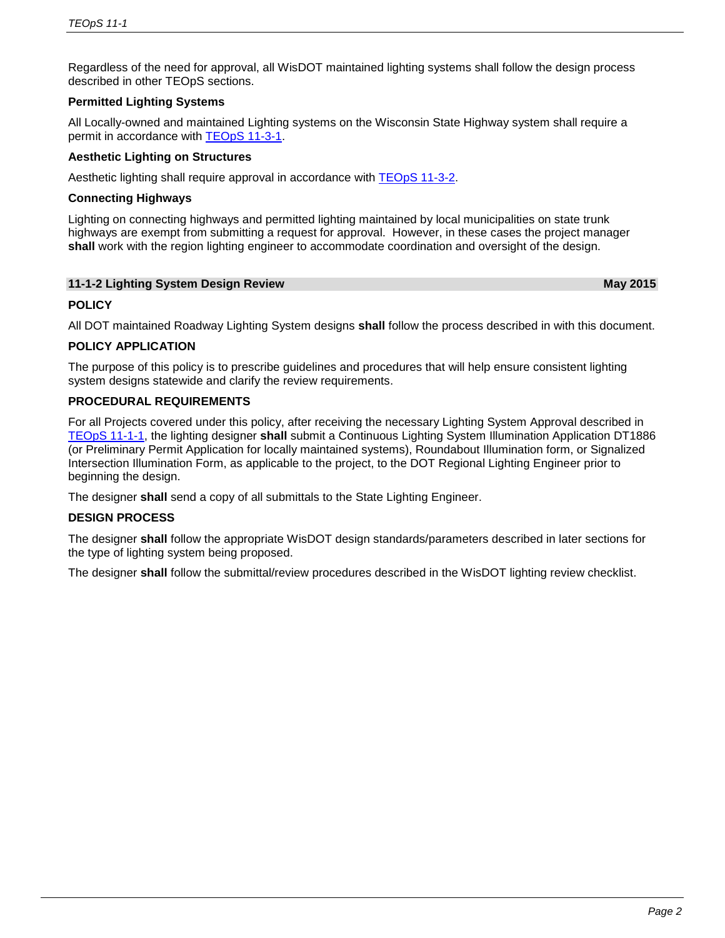Regardless of the need for approval, all WisDOT maintained lighting systems shall follow the design process described in other TEOpS sections.

# **Permitted Lighting Systems**

All Locally-owned and maintained Lighting systems on the Wisconsin State Highway system shall require a permit in accordance with **TEOpS 11-3-1**.

#### **Aesthetic Lighting on Structures**

Aesthetic lighting shall require approval in accordance with [TEOpS](http://wisconsindot.gov/dtsdManuals/traffic-ops/manuals-and-standards/teops/11-03.pdf) 11-3-2.

#### **Connecting Highways**

Lighting on connecting highways and permitted lighting maintained by local municipalities on state trunk highways are exempt from submitting a request for approval. However, in these cases the project manager **shall** work with the region lighting engineer to accommodate coordination and oversight of the design.

#### **11-1-2 Lighting System Design Review May 2015**

# **POLICY**

All DOT maintained Roadway Lighting System designs **shall** follow the process described in with this document.

# **POLICY APPLICATION**

The purpose of this policy is to prescribe guidelines and procedures that will help ensure consistent lighting system designs statewide and clarify the review requirements.

#### **PROCEDURAL REQUIREMENTS**

For all Projects covered under this policy, after receiving the necessary Lighting System Approval described in [TEOpS](http://wisconsindot.gov/dtsdManuals/traffic-ops/manuals-and-standards/teops/11-01.pdf) 11-1-1, the lighting designer **shall** submit a Continuous Lighting System Illumination Application DT1886 (or Preliminary Permit Application for locally maintained systems), Roundabout Illumination form, or Signalized Intersection Illumination Form, as applicable to the project, to the DOT Regional Lighting Engineer prior to beginning the design.

The designer **shall** send a copy of all submittals to the State Lighting Engineer.

# **DESIGN PROCESS**

The designer **shall** follow the appropriate WisDOT design standards/parameters described in later sections for the type of lighting system being proposed.

The designer **shall** follow the submittal/review procedures described in the WisDOT lighting review checklist.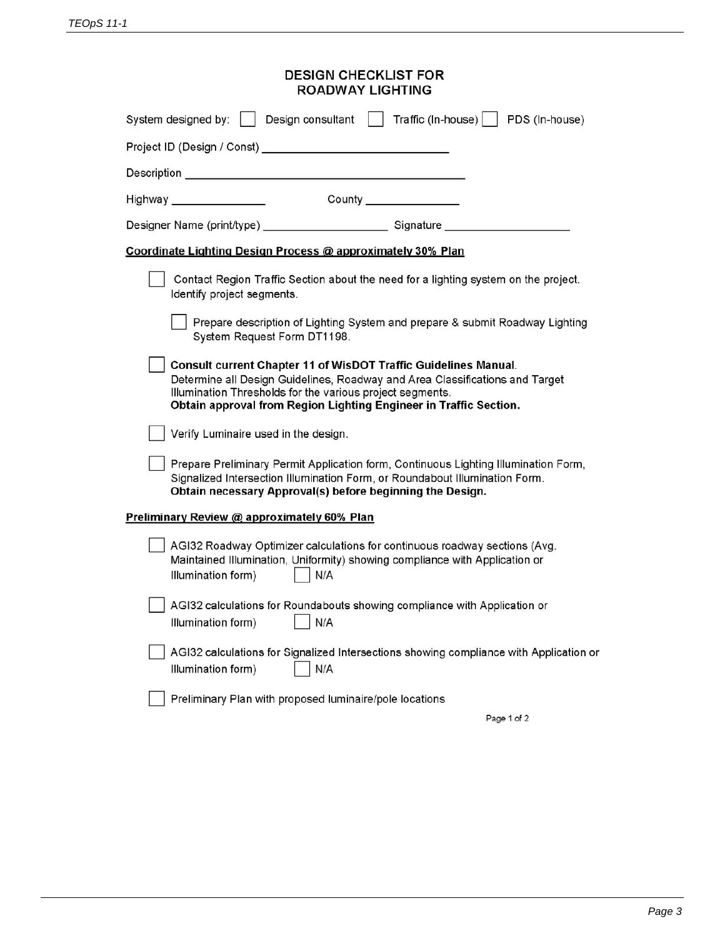| <b>DESIGN CHECKLIST FOR</b><br><b>ROADWAY LIGHTING</b>                                                                                                                                                                                                                            |  |  |  |  |  |
|-----------------------------------------------------------------------------------------------------------------------------------------------------------------------------------------------------------------------------------------------------------------------------------|--|--|--|--|--|
| Design consultant     Traffic (In-house)     PDS (In-house)<br>System designed by:                                                                                                                                                                                                |  |  |  |  |  |
|                                                                                                                                                                                                                                                                                   |  |  |  |  |  |
|                                                                                                                                                                                                                                                                                   |  |  |  |  |  |
|                                                                                                                                                                                                                                                                                   |  |  |  |  |  |
| Designer Name (print/type) ______________________________Signature _____________                                                                                                                                                                                                  |  |  |  |  |  |
| Coordinate Lighting Design Process @ approximately 30% Plan                                                                                                                                                                                                                       |  |  |  |  |  |
| Contact Region Traffic Section about the need for a lighting system on the project.<br>Identify project segments.                                                                                                                                                                 |  |  |  |  |  |
| Prepare description of Lighting System and prepare & submit Roadway Lighting<br>System Request Form DT1198.                                                                                                                                                                       |  |  |  |  |  |
| Consult current Chapter 11 of WisDOT Traffic Guidelines Manual.<br>Determine all Design Guidelines, Roadway and Area Classifications and Target<br>Illumination Thresholds for the various project segments.<br>Obtain approval from Region Lighting Engineer in Traffic Section. |  |  |  |  |  |
| Verify Luminaire used in the design.                                                                                                                                                                                                                                              |  |  |  |  |  |
| Prepare Preliminary Permit Application form, Continuous Lighting Illumination Form,<br>Signalized Intersection Illumination Form, or Roundabout Illumination Form.<br>Obtain necessary Approval(s) before beginning the Design.                                                   |  |  |  |  |  |
| Preliminary Review @ approximately 60% Plan                                                                                                                                                                                                                                       |  |  |  |  |  |
| AGI32 Roadway Optimizer calculations for continuous roadway sections (Avg.<br>Maintained Illumination, Uniformity) showing compliance with Application or<br>Illumination form)<br>N/A                                                                                            |  |  |  |  |  |
| AGI32 calculations for Roundabouts showing compliance with Application or<br>Illumination form)<br>N/A                                                                                                                                                                            |  |  |  |  |  |
| AGI32 calculations for Signalized Intersections showing compliance with Application or<br>Illumination form)<br>N/A                                                                                                                                                               |  |  |  |  |  |
| Preliminary Plan with proposed luminaire/pole locations                                                                                                                                                                                                                           |  |  |  |  |  |

Page 1 of 2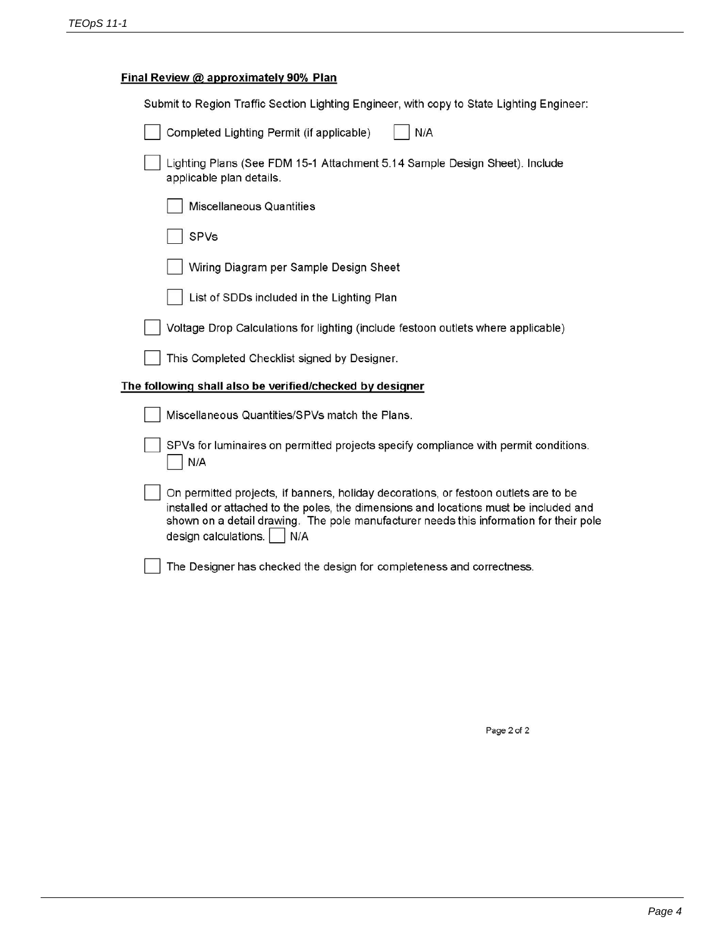# Final Review @ approximately 90% Plan

| Submit to Region Traffic Section Lighting Engineer, with copy to State Lighting Engineer:                                                                                                                                                                                                              |
|--------------------------------------------------------------------------------------------------------------------------------------------------------------------------------------------------------------------------------------------------------------------------------------------------------|
| N/A<br>Completed Lighting Permit (if applicable)                                                                                                                                                                                                                                                       |
| Lighting Plans (See FDM 15-1 Attachment 5.14 Sample Design Sheet). Include<br>applicable plan details.                                                                                                                                                                                                 |
| <b>Miscellaneous Quantities</b>                                                                                                                                                                                                                                                                        |
| SPVs                                                                                                                                                                                                                                                                                                   |
| Wiring Diagram per Sample Design Sheet                                                                                                                                                                                                                                                                 |
| List of SDDs included in the Lighting Plan                                                                                                                                                                                                                                                             |
| Voltage Drop Calculations for lighting (include festoon outlets where applicable)                                                                                                                                                                                                                      |
| This Completed Checklist signed by Designer.                                                                                                                                                                                                                                                           |
| The following shall also be verified/checked by designer                                                                                                                                                                                                                                               |
| Miscellaneous Quantities/SPVs match the Plans.                                                                                                                                                                                                                                                         |
| SPVs for luminaires on permitted projects specify compliance with permit conditions.<br>N/A                                                                                                                                                                                                            |
| On permitted projects, if banners, holiday decorations, or festoon outlets are to be<br>installed or attached to the poles, the dimensions and locations must be included and<br>shown on a detail drawing. The pole manufacturer needs this information for their pole<br>design calculations.<br>N/A |
| The Designer has checked the design for completeness and correctness.                                                                                                                                                                                                                                  |
|                                                                                                                                                                                                                                                                                                        |

Page 2 of 2